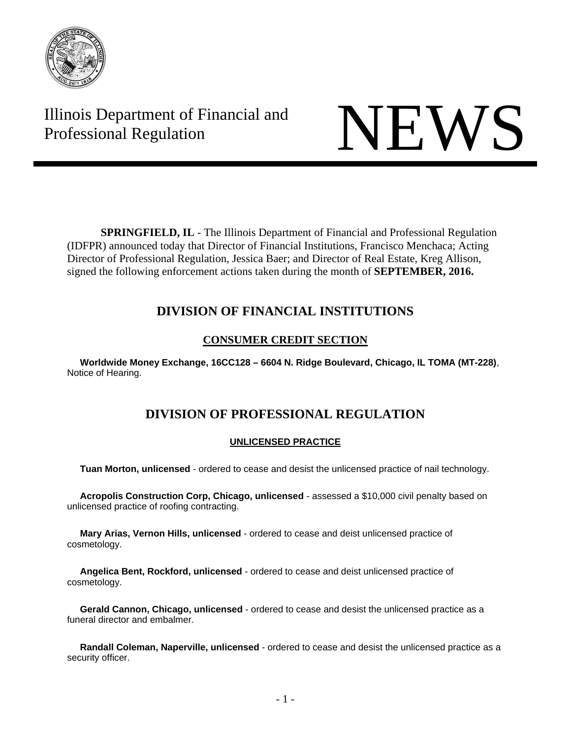

Illinois Department of Financial and Illinois Department of Financial and<br>Professional Regulation



**SPRINGFIELD, IL** - The Illinois Department of Financial and Professional Regulation (IDFPR) announced today that Director of Financial Institutions, Francisco Menchaca; Acting Director of Professional Regulation, Jessica Baer; and Director of Real Estate, Kreg Allison, signed the following enforcement actions taken during the month of **SEPTEMBER, 2016.** 

## **DIVISION OF FINANCIAL INSTITUTIONS**

## **CONSUMER CREDIT SECTION**

 **Worldwide Money Exchange, 16CC128 – 6604 N. Ridge Boulevard, Chicago, IL TOMA (MT-228)**, Notice of Hearing.

# **DIVISION OF PROFESSIONAL REGULATION**

### **UNLICENSED PRACTICE**

**Tuan Morton, unlicensed** - ordered to cease and desist the unlicensed practice of nail technology.

 **Acropolis Construction Corp, Chicago, unlicensed** - assessed a \$10,000 civil penalty based on unlicensed practice of roofing contracting.

 **Mary Arias, Vernon Hills, unlicensed** - ordered to cease and deist unlicensed practice of cosmetology.

 **Angelica Bent, Rockford, unlicensed** - ordered to cease and deist unlicensed practice of cosmetology.

 **Gerald Cannon, Chicago, unlicensed** - ordered to cease and desist the unlicensed practice as a funeral director and embalmer.

 **Randall Coleman, Naperville, unlicensed** - ordered to cease and desist the unlicensed practice as a security officer.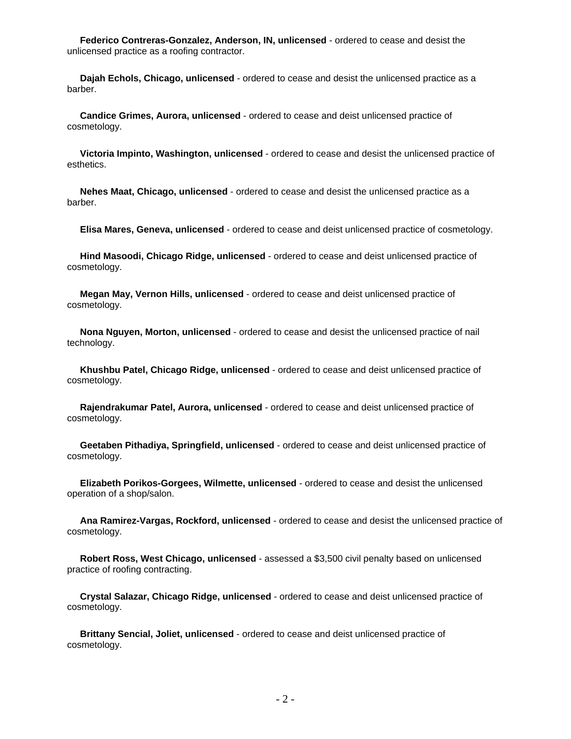**Federico Contreras-Gonzalez, Anderson, IN, unlicensed** - ordered to cease and desist the unlicensed practice as a roofing contractor.

 **Dajah Echols, Chicago, unlicensed** - ordered to cease and desist the unlicensed practice as a barber.

 **Candice Grimes, Aurora, unlicensed** - ordered to cease and deist unlicensed practice of cosmetology.

 **Victoria Impinto, Washington, unlicensed** - ordered to cease and desist the unlicensed practice of esthetics.

 **Nehes Maat, Chicago, unlicensed** - ordered to cease and desist the unlicensed practice as a barber.

**Elisa Mares, Geneva, unlicensed** - ordered to cease and deist unlicensed practice of cosmetology.

 **Hind Masoodi, Chicago Ridge, unlicensed** - ordered to cease and deist unlicensed practice of cosmetology.

 **Megan May, Vernon Hills, unlicensed** - ordered to cease and deist unlicensed practice of cosmetology.

 **Nona Nguyen, Morton, unlicensed** - ordered to cease and desist the unlicensed practice of nail technology.

 **Khushbu Patel, Chicago Ridge, unlicensed** - ordered to cease and deist unlicensed practice of cosmetology.

 **Rajendrakumar Patel, Aurora, unlicensed** - ordered to cease and deist unlicensed practice of cosmetology.

 **Geetaben Pithadiya, Springfield, unlicensed** - ordered to cease and deist unlicensed practice of cosmetology.

 **Elizabeth Porikos-Gorgees, Wilmette, unlicensed** - ordered to cease and desist the unlicensed operation of a shop/salon.

 **Ana Ramirez-Vargas, Rockford, unlicensed** - ordered to cease and desist the unlicensed practice of cosmetology.

 **Robert Ross, West Chicago, unlicensed** - assessed a \$3,500 civil penalty based on unlicensed practice of roofing contracting.

 **Crystal Salazar, Chicago Ridge, unlicensed** - ordered to cease and deist unlicensed practice of cosmetology.

 **Brittany Sencial, Joliet, unlicensed** - ordered to cease and deist unlicensed practice of cosmetology.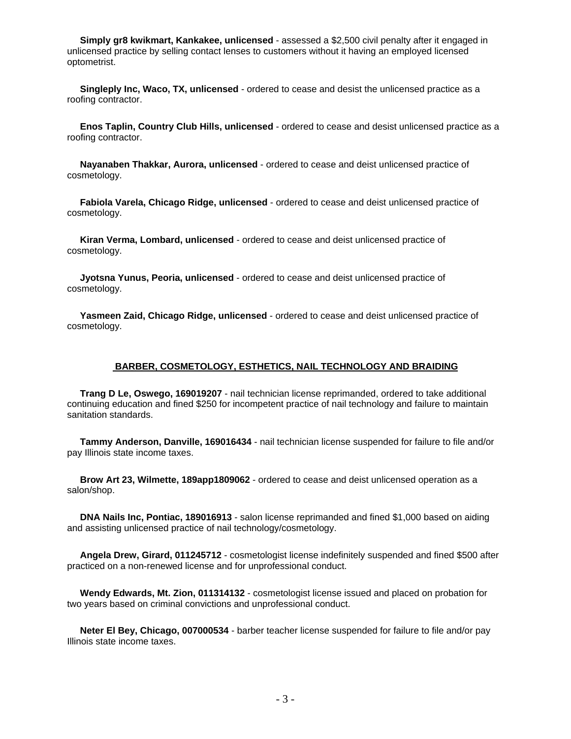**Simply gr8 kwikmart, Kankakee, unlicensed** - assessed a \$2,500 civil penalty after it engaged in unlicensed practice by selling contact lenses to customers without it having an employed licensed optometrist.

 **Singleply Inc, Waco, TX, unlicensed** - ordered to cease and desist the unlicensed practice as a roofing contractor.

 **Enos Taplin, Country Club Hills, unlicensed** - ordered to cease and desist unlicensed practice as a roofing contractor.

 **Nayanaben Thakkar, Aurora, unlicensed** - ordered to cease and deist unlicensed practice of cosmetology.

 **Fabiola Varela, Chicago Ridge, unlicensed** - ordered to cease and deist unlicensed practice of cosmetology.

 **Kiran Verma, Lombard, unlicensed** - ordered to cease and deist unlicensed practice of cosmetology.

 **Jyotsna Yunus, Peoria, unlicensed** - ordered to cease and deist unlicensed practice of cosmetology.

 **Yasmeen Zaid, Chicago Ridge, unlicensed** - ordered to cease and deist unlicensed practice of cosmetology.

#### **BARBER, COSMETOLOGY, ESTHETICS, NAIL TECHNOLOGY AND BRAIDING**

 **Trang D Le, Oswego, 169019207** - nail technician license reprimanded, ordered to take additional continuing education and fined \$250 for incompetent practice of nail technology and failure to maintain sanitation standards.

 **Tammy Anderson, Danville, 169016434** - nail technician license suspended for failure to file and/or pay Illinois state income taxes.

 **Brow Art 23, Wilmette, 189app1809062** - ordered to cease and deist unlicensed operation as a salon/shop.

 **DNA Nails Inc, Pontiac, 189016913** - salon license reprimanded and fined \$1,000 based on aiding and assisting unlicensed practice of nail technology/cosmetology.

 **Angela Drew, Girard, 011245712** - cosmetologist license indefinitely suspended and fined \$500 after practiced on a non-renewed license and for unprofessional conduct.

 **Wendy Edwards, Mt. Zion, 011314132** - cosmetologist license issued and placed on probation for two years based on criminal convictions and unprofessional conduct.

 **Neter El Bey, Chicago, 007000534** - barber teacher license suspended for failure to file and/or pay Illinois state income taxes.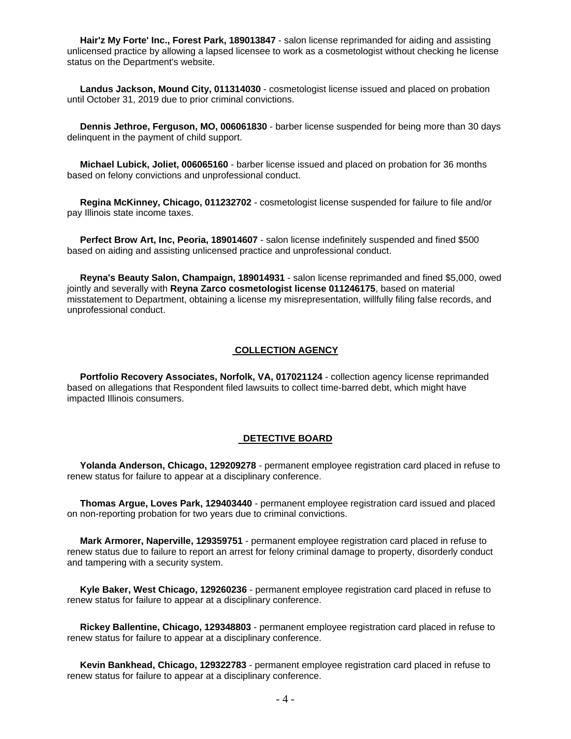**Hair'z My Forte' Inc., Forest Park, 189013847** - salon license reprimanded for aiding and assisting unlicensed practice by allowing a lapsed licensee to work as a cosmetologist without checking he license status on the Department's website.

 **Landus Jackson, Mound City, 011314030** - cosmetologist license issued and placed on probation until October 31, 2019 due to prior criminal convictions.

 **Dennis Jethroe, Ferguson, MO, 006061830** - barber license suspended for being more than 30 days delinquent in the payment of child support.

 **Michael Lubick, Joliet, 006065160** - barber license issued and placed on probation for 36 months based on felony convictions and unprofessional conduct.

 **Regina McKinney, Chicago, 011232702** - cosmetologist license suspended for failure to file and/or pay Illinois state income taxes.

 **Perfect Brow Art, Inc, Peoria, 189014607** - salon license indefinitely suspended and fined \$500 based on aiding and assisting unlicensed practice and unprofessional conduct.

 **Reyna's Beauty Salon, Champaign, 189014931** - salon license reprimanded and fined \$5,000, owed jointly and severally with **Reyna Zarco cosmetologist license 011246175**, based on material misstatement to Department, obtaining a license my misrepresentation, willfully filing false records, and unprofessional conduct.

#### **COLLECTION AGENCY**

 **Portfolio Recovery Associates, Norfolk, VA, 017021124** - collection agency license reprimanded based on allegations that Respondent filed lawsuits to collect time-barred debt, which might have impacted Illinois consumers.

#### **DETECTIVE BOARD**

 **Yolanda Anderson, Chicago, 129209278** - permanent employee registration card placed in refuse to renew status for failure to appear at a disciplinary conference.

 **Thomas Argue, Loves Park, 129403440** - permanent employee registration card issued and placed on non-reporting probation for two years due to criminal convictions.

 **Mark Armorer, Naperville, 129359751** - permanent employee registration card placed in refuse to renew status due to failure to report an arrest for felony criminal damage to property, disorderly conduct and tampering with a security system.

 **Kyle Baker, West Chicago, 129260236** - permanent employee registration card placed in refuse to renew status for failure to appear at a disciplinary conference.

 **Rickey Ballentine, Chicago, 129348803** - permanent employee registration card placed in refuse to renew status for failure to appear at a disciplinary conference.

 **Kevin Bankhead, Chicago, 129322783** - permanent employee registration card placed in refuse to renew status for failure to appear at a disciplinary conference.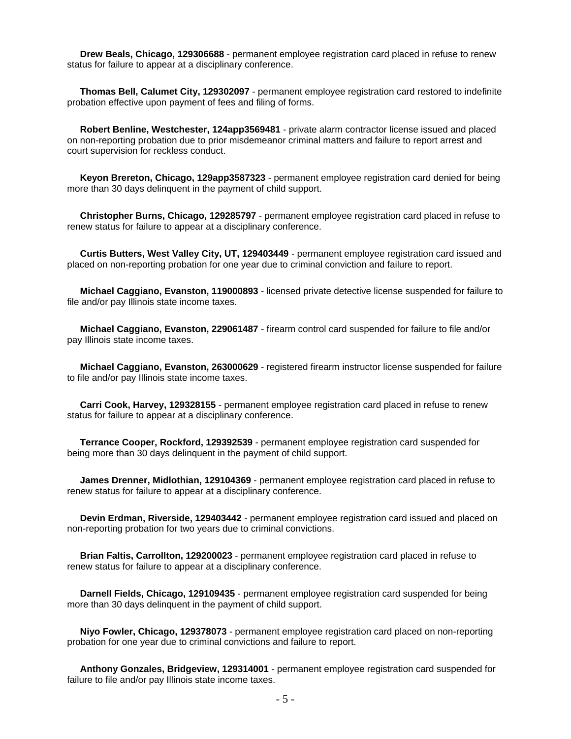**Drew Beals, Chicago, 129306688** - permanent employee registration card placed in refuse to renew status for failure to appear at a disciplinary conference.

 **Thomas Bell, Calumet City, 129302097** - permanent employee registration card restored to indefinite probation effective upon payment of fees and filing of forms.

 **Robert Benline, Westchester, 124app3569481** - private alarm contractor license issued and placed on non-reporting probation due to prior misdemeanor criminal matters and failure to report arrest and court supervision for reckless conduct.

 **Keyon Brereton, Chicago, 129app3587323** - permanent employee registration card denied for being more than 30 days delinquent in the payment of child support.

 **Christopher Burns, Chicago, 129285797** - permanent employee registration card placed in refuse to renew status for failure to appear at a disciplinary conference.

 **Curtis Butters, West Valley City, UT, 129403449** - permanent employee registration card issued and placed on non-reporting probation for one year due to criminal conviction and failure to report.

 **Michael Caggiano, Evanston, 119000893** - licensed private detective license suspended for failure to file and/or pay Illinois state income taxes.

 **Michael Caggiano, Evanston, 229061487** - firearm control card suspended for failure to file and/or pay Illinois state income taxes.

 **Michael Caggiano, Evanston, 263000629** - registered firearm instructor license suspended for failure to file and/or pay Illinois state income taxes.

 **Carri Cook, Harvey, 129328155** - permanent employee registration card placed in refuse to renew status for failure to appear at a disciplinary conference.

 **Terrance Cooper, Rockford, 129392539** - permanent employee registration card suspended for being more than 30 days delinquent in the payment of child support.

 **James Drenner, Midlothian, 129104369** - permanent employee registration card placed in refuse to renew status for failure to appear at a disciplinary conference.

 **Devin Erdman, Riverside, 129403442** - permanent employee registration card issued and placed on non-reporting probation for two years due to criminal convictions.

 **Brian Faltis, Carrollton, 129200023** - permanent employee registration card placed in refuse to renew status for failure to appear at a disciplinary conference.

 **Darnell Fields, Chicago, 129109435** - permanent employee registration card suspended for being more than 30 days delinquent in the payment of child support.

 **Niyo Fowler, Chicago, 129378073** - permanent employee registration card placed on non-reporting probation for one year due to criminal convictions and failure to report.

 **Anthony Gonzales, Bridgeview, 129314001** - permanent employee registration card suspended for failure to file and/or pay Illinois state income taxes.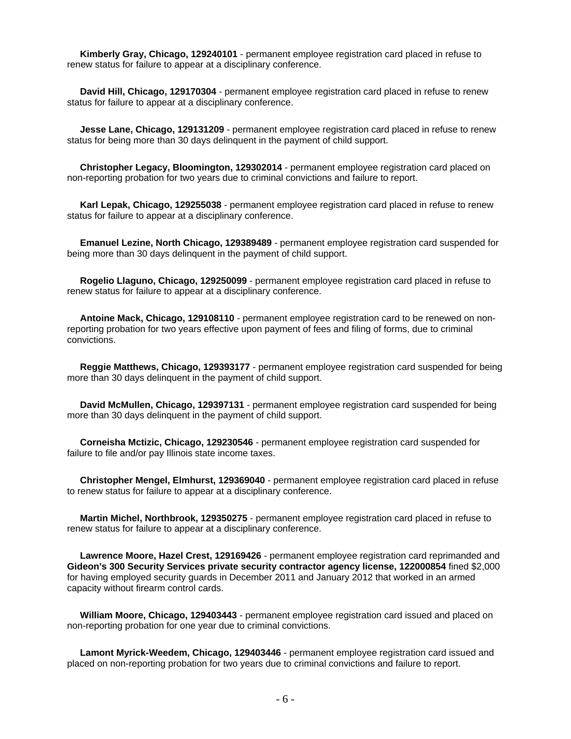**Kimberly Gray, Chicago, 129240101** - permanent employee registration card placed in refuse to renew status for failure to appear at a disciplinary conference.

 **David Hill, Chicago, 129170304** - permanent employee registration card placed in refuse to renew status for failure to appear at a disciplinary conference.

 **Jesse Lane, Chicago, 129131209** - permanent employee registration card placed in refuse to renew status for being more than 30 days delinquent in the payment of child support.

 **Christopher Legacy, Bloomington, 129302014** - permanent employee registration card placed on non-reporting probation for two years due to criminal convictions and failure to report.

 **Karl Lepak, Chicago, 129255038** - permanent employee registration card placed in refuse to renew status for failure to appear at a disciplinary conference.

 **Emanuel Lezine, North Chicago, 129389489** - permanent employee registration card suspended for being more than 30 days delinquent in the payment of child support.

 **Rogelio Llaguno, Chicago, 129250099** - permanent employee registration card placed in refuse to renew status for failure to appear at a disciplinary conference.

 **Antoine Mack, Chicago, 129108110** - permanent employee registration card to be renewed on nonreporting probation for two years effective upon payment of fees and filing of forms, due to criminal convictions.

 **Reggie Matthews, Chicago, 129393177** - permanent employee registration card suspended for being more than 30 days delinquent in the payment of child support.

 **David McMullen, Chicago, 129397131** - permanent employee registration card suspended for being more than 30 days delinquent in the payment of child support.

 **Corneisha Mctizic, Chicago, 129230546** - permanent employee registration card suspended for failure to file and/or pay Illinois state income taxes.

 **Christopher Mengel, Elmhurst, 129369040** - permanent employee registration card placed in refuse to renew status for failure to appear at a disciplinary conference.

 **Martin Michel, Northbrook, 129350275** - permanent employee registration card placed in refuse to renew status for failure to appear at a disciplinary conference.

 **Lawrence Moore, Hazel Crest, 129169426** - permanent employee registration card reprimanded and **Gideon's 300 Security Services private security contractor agency license, 122000854** fined \$2,000 for having employed security guards in December 2011 and January 2012 that worked in an armed capacity without firearm control cards.

 **William Moore, Chicago, 129403443** - permanent employee registration card issued and placed on non-reporting probation for one year due to criminal convictions.

 **Lamont Myrick-Weedem, Chicago, 129403446** - permanent employee registration card issued and placed on non-reporting probation for two years due to criminal convictions and failure to report.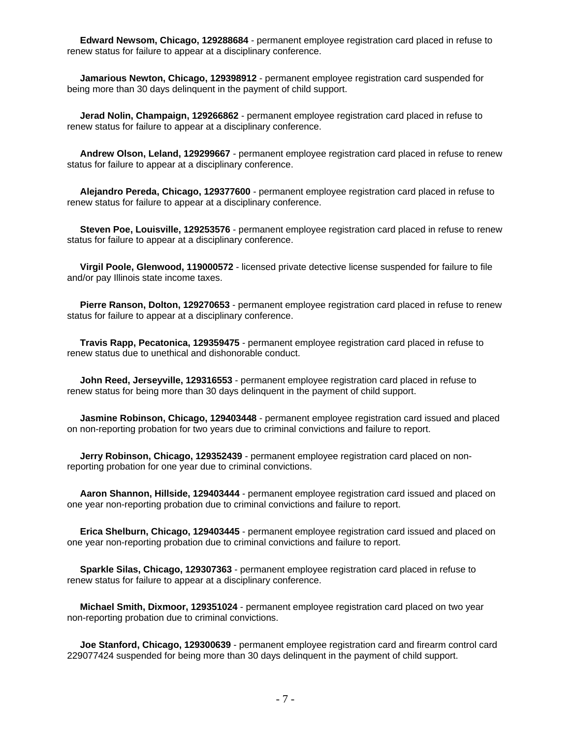**Edward Newsom, Chicago, 129288684** - permanent employee registration card placed in refuse to renew status for failure to appear at a disciplinary conference.

 **Jamarious Newton, Chicago, 129398912** - permanent employee registration card suspended for being more than 30 days delinquent in the payment of child support.

 **Jerad Nolin, Champaign, 129266862** - permanent employee registration card placed in refuse to renew status for failure to appear at a disciplinary conference.

 **Andrew Olson, Leland, 129299667** - permanent employee registration card placed in refuse to renew status for failure to appear at a disciplinary conference.

 **Alejandro Pereda, Chicago, 129377600** - permanent employee registration card placed in refuse to renew status for failure to appear at a disciplinary conference.

 **Steven Poe, Louisville, 129253576** - permanent employee registration card placed in refuse to renew status for failure to appear at a disciplinary conference.

 **Virgil Poole, Glenwood, 119000572** - licensed private detective license suspended for failure to file and/or pay Illinois state income taxes.

 **Pierre Ranson, Dolton, 129270653** - permanent employee registration card placed in refuse to renew status for failure to appear at a disciplinary conference.

 **Travis Rapp, Pecatonica, 129359475** - permanent employee registration card placed in refuse to renew status due to unethical and dishonorable conduct.

 **John Reed, Jerseyville, 129316553** - permanent employee registration card placed in refuse to renew status for being more than 30 days delinquent in the payment of child support.

 **Jasmine Robinson, Chicago, 129403448** - permanent employee registration card issued and placed on non-reporting probation for two years due to criminal convictions and failure to report.

 **Jerry Robinson, Chicago, 129352439** - permanent employee registration card placed on nonreporting probation for one year due to criminal convictions.

 **Aaron Shannon, Hillside, 129403444** - permanent employee registration card issued and placed on one year non-reporting probation due to criminal convictions and failure to report.

 **Erica Shelburn, Chicago, 129403445** - permanent employee registration card issued and placed on one year non-reporting probation due to criminal convictions and failure to report.

 **Sparkle Silas, Chicago, 129307363** - permanent employee registration card placed in refuse to renew status for failure to appear at a disciplinary conference.

 **Michael Smith, Dixmoor, 129351024** - permanent employee registration card placed on two year non-reporting probation due to criminal convictions.

 **Joe Stanford, Chicago, 129300639** - permanent employee registration card and firearm control card 229077424 suspended for being more than 30 days delinquent in the payment of child support.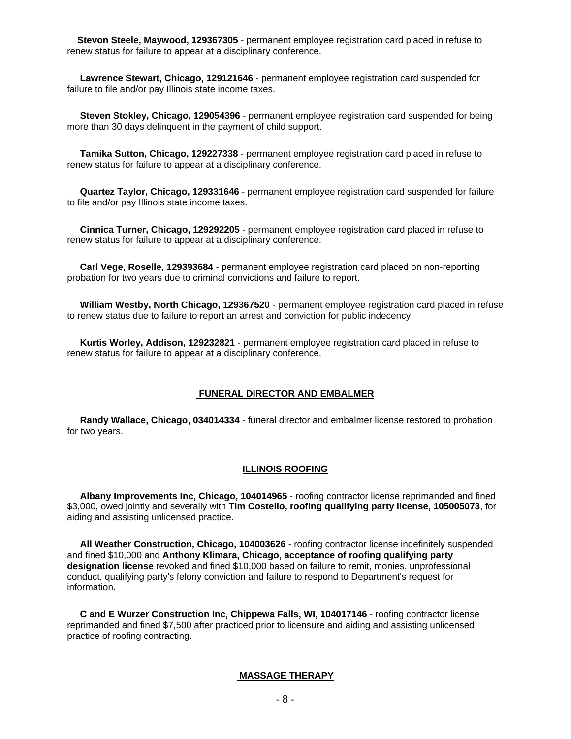**Stevon Steele, Maywood, 129367305** - permanent employee registration card placed in refuse to renew status for failure to appear at a disciplinary conference.

 **Lawrence Stewart, Chicago, 129121646** - permanent employee registration card suspended for failure to file and/or pay Illinois state income taxes.

 **Steven Stokley, Chicago, 129054396** - permanent employee registration card suspended for being more than 30 days delinquent in the payment of child support.

 **Tamika Sutton, Chicago, 129227338** - permanent employee registration card placed in refuse to renew status for failure to appear at a disciplinary conference.

 **Quartez Taylor, Chicago, 129331646** - permanent employee registration card suspended for failure to file and/or pay Illinois state income taxes.

 **Cinnica Turner, Chicago, 129292205** - permanent employee registration card placed in refuse to renew status for failure to appear at a disciplinary conference.

 **Carl Vege, Roselle, 129393684** - permanent employee registration card placed on non-reporting probation for two years due to criminal convictions and failure to report.

 **William Westby, North Chicago, 129367520** - permanent employee registration card placed in refuse to renew status due to failure to report an arrest and conviction for public indecency.

 **Kurtis Worley, Addison, 129232821** - permanent employee registration card placed in refuse to renew status for failure to appear at a disciplinary conference.

#### **FUNERAL DIRECTOR AND EMBALMER**

 **Randy Wallace, Chicago, 034014334** - funeral director and embalmer license restored to probation for two years.

#### **ILLINOIS ROOFING**

 **Albany Improvements Inc, Chicago, 104014965** - roofing contractor license reprimanded and fined \$3,000, owed jointly and severally with **Tim Costello, roofing qualifying party license, 105005073**, for aiding and assisting unlicensed practice.

 **All Weather Construction, Chicago, 104003626** - roofing contractor license indefinitely suspended and fined \$10,000 and **Anthony Klimara, Chicago, acceptance of roofing qualifying party designation license** revoked and fined \$10,000 based on failure to remit, monies, unprofessional conduct, qualifying party's felony conviction and failure to respond to Department's request for information.

 **C and E Wurzer Construction Inc, Chippewa Falls, WI, 104017146** - roofing contractor license reprimanded and fined \$7,500 after practiced prior to licensure and aiding and assisting unlicensed practice of roofing contracting.

#### **MASSAGE THERAPY**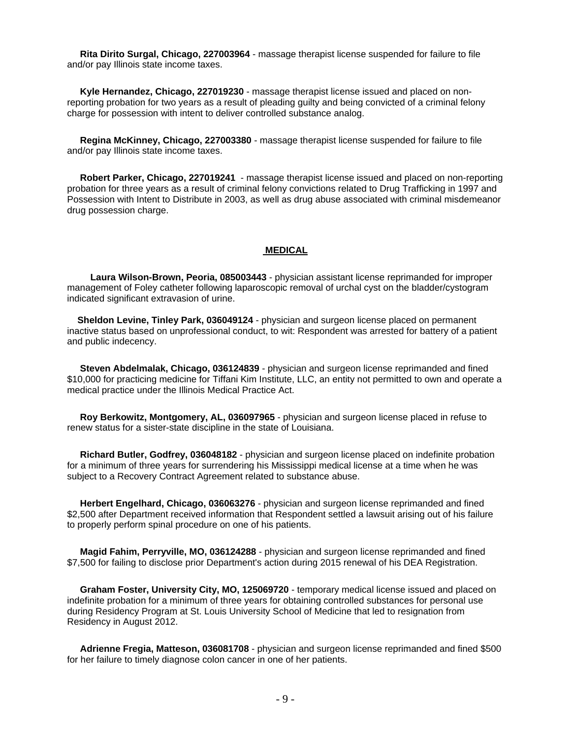**Rita Dirito Surgal, Chicago, 227003964** - massage therapist license suspended for failure to file and/or pay Illinois state income taxes.

 **Kyle Hernandez, Chicago, 227019230** - massage therapist license issued and placed on nonreporting probation for two years as a result of pleading guilty and being convicted of a criminal felony charge for possession with intent to deliver controlled substance analog.

 **Regina McKinney, Chicago, 227003380** - massage therapist license suspended for failure to file and/or pay Illinois state income taxes.

 **Robert Parker, Chicago, 227019241** - massage therapist license issued and placed on non-reporting probation for three years as a result of criminal felony convictions related to Drug Trafficking in 1997 and Possession with Intent to Distribute in 2003, as well as drug abuse associated with criminal misdemeanor drug possession charge.

#### **MEDICAL**

 **Laura Wilson-Brown, Peoria, 085003443** - physician assistant license reprimanded for improper management of Foley catheter following laparoscopic removal of urchal cyst on the bladder/cystogram indicated significant extravasion of urine.

 **Sheldon Levine, Tinley Park, 036049124** - physician and surgeon license placed on permanent inactive status based on unprofessional conduct, to wit: Respondent was arrested for battery of a patient and public indecency.

 **Steven Abdelmalak, Chicago, 036124839** - physician and surgeon license reprimanded and fined \$10,000 for practicing medicine for Tiffani Kim Institute, LLC, an entity not permitted to own and operate a medical practice under the Illinois Medical Practice Act.

 **Roy Berkowitz, Montgomery, AL, 036097965** - physician and surgeon license placed in refuse to renew status for a sister-state discipline in the state of Louisiana.

 **Richard Butler, Godfrey, 036048182** - physician and surgeon license placed on indefinite probation for a minimum of three years for surrendering his Mississippi medical license at a time when he was subject to a Recovery Contract Agreement related to substance abuse.

 **Herbert Engelhard, Chicago, 036063276** - physician and surgeon license reprimanded and fined \$2,500 after Department received information that Respondent settled a lawsuit arising out of his failure to properly perform spinal procedure on one of his patients.

 **Magid Fahim, Perryville, MO, 036124288** - physician and surgeon license reprimanded and fined \$7,500 for failing to disclose prior Department's action during 2015 renewal of his DEA Registration.

 **Graham Foster, University City, MO, 125069720** - temporary medical license issued and placed on indefinite probation for a minimum of three years for obtaining controlled substances for personal use during Residency Program at St. Louis University School of Medicine that led to resignation from Residency in August 2012.

 **Adrienne Fregia, Matteson, 036081708** - physician and surgeon license reprimanded and fined \$500 for her failure to timely diagnose colon cancer in one of her patients.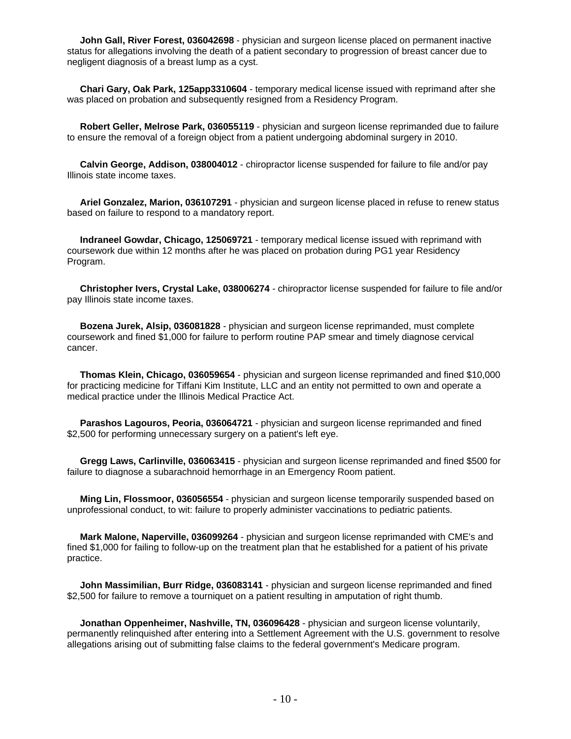**John Gall, River Forest, 036042698** - physician and surgeon license placed on permanent inactive status for allegations involving the death of a patient secondary to progression of breast cancer due to negligent diagnosis of a breast lump as a cyst.

 **Chari Gary, Oak Park, 125app3310604** - temporary medical license issued with reprimand after she was placed on probation and subsequently resigned from a Residency Program.

 **Robert Geller, Melrose Park, 036055119** - physician and surgeon license reprimanded due to failure to ensure the removal of a foreign object from a patient undergoing abdominal surgery in 2010.

 **Calvin George, Addison, 038004012** - chiropractor license suspended for failure to file and/or pay Illinois state income taxes.

 **Ariel Gonzalez, Marion, 036107291** - physician and surgeon license placed in refuse to renew status based on failure to respond to a mandatory report.

 **Indraneel Gowdar, Chicago, 125069721** - temporary medical license issued with reprimand with coursework due within 12 months after he was placed on probation during PG1 year Residency Program.

 **Christopher Ivers, Crystal Lake, 038006274** - chiropractor license suspended for failure to file and/or pay Illinois state income taxes.

 **Bozena Jurek, Alsip, 036081828** - physician and surgeon license reprimanded, must complete coursework and fined \$1,000 for failure to perform routine PAP smear and timely diagnose cervical cancer.

 **Thomas Klein, Chicago, 036059654** - physician and surgeon license reprimanded and fined \$10,000 for practicing medicine for Tiffani Kim Institute, LLC and an entity not permitted to own and operate a medical practice under the Illinois Medical Practice Act.

 **Parashos Lagouros, Peoria, 036064721** - physician and surgeon license reprimanded and fined \$2,500 for performing unnecessary surgery on a patient's left eye.

 **Gregg Laws, Carlinville, 036063415** - physician and surgeon license reprimanded and fined \$500 for failure to diagnose a subarachnoid hemorrhage in an Emergency Room patient.

 **Ming Lin, Flossmoor, 036056554** - physician and surgeon license temporarily suspended based on unprofessional conduct, to wit: failure to properly administer vaccinations to pediatric patients.

 **Mark Malone, Naperville, 036099264** - physician and surgeon license reprimanded with CME's and fined \$1,000 for failing to follow-up on the treatment plan that he established for a patient of his private practice.

 **John Massimilian, Burr Ridge, 036083141** - physician and surgeon license reprimanded and fined \$2,500 for failure to remove a tourniquet on a patient resulting in amputation of right thumb.

 **Jonathan Oppenheimer, Nashville, TN, 036096428** - physician and surgeon license voluntarily, permanently relinquished after entering into a Settlement Agreement with the U.S. government to resolve allegations arising out of submitting false claims to the federal government's Medicare program.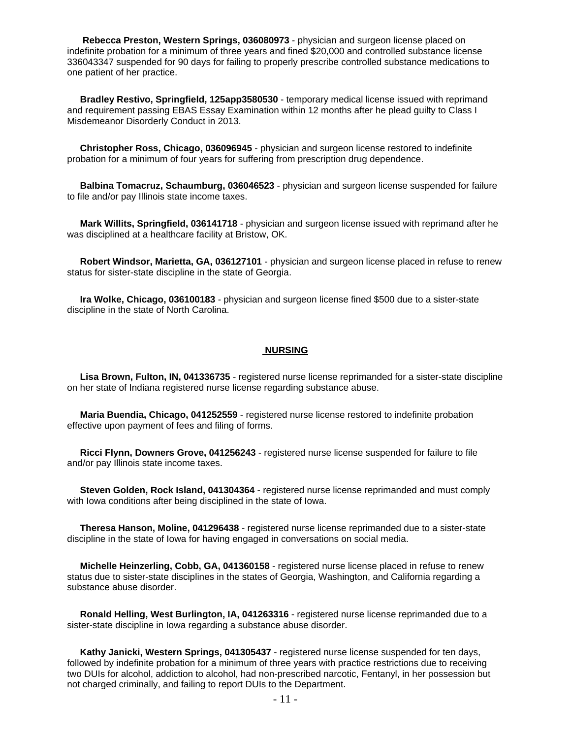**Rebecca Preston, Western Springs, 036080973** - physician and surgeon license placed on indefinite probation for a minimum of three years and fined \$20,000 and controlled substance license 336043347 suspended for 90 days for failing to properly prescribe controlled substance medications to one patient of her practice.

 **Bradley Restivo, Springfield, 125app3580530** - temporary medical license issued with reprimand and requirement passing EBAS Essay Examination within 12 months after he plead guilty to Class I Misdemeanor Disorderly Conduct in 2013.

 **Christopher Ross, Chicago, 036096945** - physician and surgeon license restored to indefinite probation for a minimum of four years for suffering from prescription drug dependence.

 **Balbina Tomacruz, Schaumburg, 036046523** - physician and surgeon license suspended for failure to file and/or pay Illinois state income taxes.

 **Mark Willits, Springfield, 036141718** - physician and surgeon license issued with reprimand after he was disciplined at a healthcare facility at Bristow, OK.

 **Robert Windsor, Marietta, GA, 036127101** - physician and surgeon license placed in refuse to renew status for sister-state discipline in the state of Georgia.

 **Ira Wolke, Chicago, 036100183** - physician and surgeon license fined \$500 due to a sister-state discipline in the state of North Carolina.

#### **NURSING**

 **Lisa Brown, Fulton, IN, 041336735** - registered nurse license reprimanded for a sister-state discipline on her state of Indiana registered nurse license regarding substance abuse.

 **Maria Buendia, Chicago, 041252559** - registered nurse license restored to indefinite probation effective upon payment of fees and filing of forms.

 **Ricci Flynn, Downers Grove, 041256243** - registered nurse license suspended for failure to file and/or pay Illinois state income taxes.

 **Steven Golden, Rock Island, 041304364** - registered nurse license reprimanded and must comply with Iowa conditions after being disciplined in the state of Iowa.

 **Theresa Hanson, Moline, 041296438** - registered nurse license reprimanded due to a sister-state discipline in the state of Iowa for having engaged in conversations on social media.

 **Michelle Heinzerling, Cobb, GA, 041360158** - registered nurse license placed in refuse to renew status due to sister-state disciplines in the states of Georgia, Washington, and California regarding a substance abuse disorder.

 **Ronald Helling, West Burlington, IA, 041263316** - registered nurse license reprimanded due to a sister-state discipline in Iowa regarding a substance abuse disorder.

 **Kathy Janicki, Western Springs, 041305437** - registered nurse license suspended for ten days, followed by indefinite probation for a minimum of three years with practice restrictions due to receiving two DUIs for alcohol, addiction to alcohol, had non-prescribed narcotic, Fentanyl, in her possession but not charged criminally, and failing to report DUIs to the Department.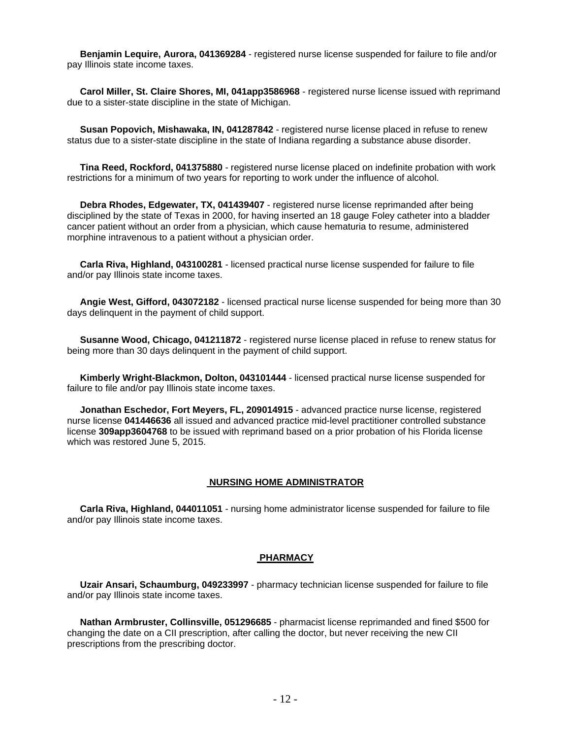**Benjamin Lequire, Aurora, 041369284** - registered nurse license suspended for failure to file and/or pay Illinois state income taxes.

 **Carol Miller, St. Claire Shores, MI, 041app3586968** - registered nurse license issued with reprimand due to a sister-state discipline in the state of Michigan.

 **Susan Popovich, Mishawaka, IN, 041287842** - registered nurse license placed in refuse to renew status due to a sister-state discipline in the state of Indiana regarding a substance abuse disorder.

 **Tina Reed, Rockford, 041375880** - registered nurse license placed on indefinite probation with work restrictions for a minimum of two years for reporting to work under the influence of alcohol.

 **Debra Rhodes, Edgewater, TX, 041439407** - registered nurse license reprimanded after being disciplined by the state of Texas in 2000, for having inserted an 18 gauge Foley catheter into a bladder cancer patient without an order from a physician, which cause hematuria to resume, administered morphine intravenous to a patient without a physician order.

 **Carla Riva, Highland, 043100281** - licensed practical nurse license suspended for failure to file and/or pay Illinois state income taxes.

 **Angie West, Gifford, 043072182** - licensed practical nurse license suspended for being more than 30 days delinquent in the payment of child support.

 **Susanne Wood, Chicago, 041211872** - registered nurse license placed in refuse to renew status for being more than 30 days delinquent in the payment of child support.

 **Kimberly Wright-Blackmon, Dolton, 043101444** - licensed practical nurse license suspended for failure to file and/or pay Illinois state income taxes.

 **Jonathan Eschedor, Fort Meyers, FL, 209014915** - advanced practice nurse license, registered nurse license **041446636** all issued and advanced practice mid-level practitioner controlled substance license **309app3604768** to be issued with reprimand based on a prior probation of his Florida license which was restored June 5, 2015.

#### **NURSING HOME ADMINISTRATOR**

 **Carla Riva, Highland, 044011051** - nursing home administrator license suspended for failure to file and/or pay Illinois state income taxes.

#### **PHARMACY**

 **Uzair Ansari, Schaumburg, 049233997** - pharmacy technician license suspended for failure to file and/or pay Illinois state income taxes.

 **Nathan Armbruster, Collinsville, 051296685** - pharmacist license reprimanded and fined \$500 for changing the date on a CII prescription, after calling the doctor, but never receiving the new CII prescriptions from the prescribing doctor.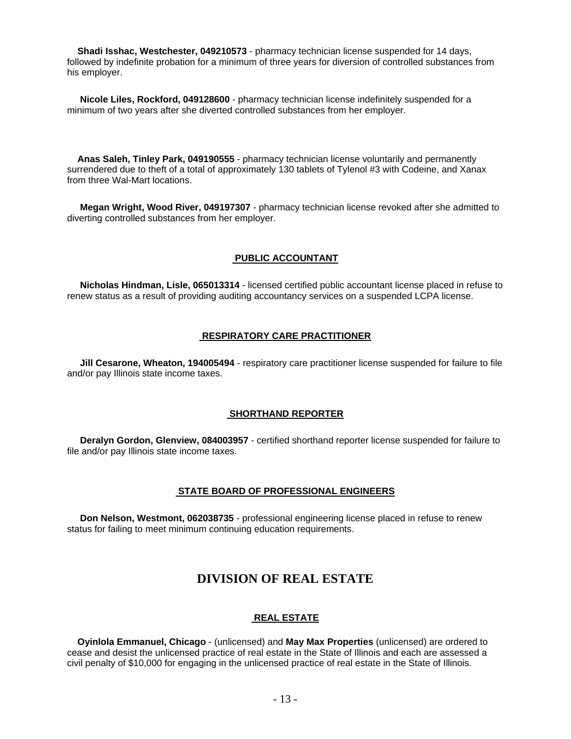**Shadi Isshac, Westchester, 049210573** - pharmacy technician license suspended for 14 days, followed by indefinite probation for a minimum of three years for diversion of controlled substances from his employer.

 **Nicole Liles, Rockford, 049128600** - pharmacy technician license indefinitely suspended for a minimum of two years after she diverted controlled substances from her employer.

 **Anas Saleh, Tinley Park, 049190555** - pharmacy technician license voluntarily and permanently surrendered due to theft of a total of approximately 130 tablets of Tylenol #3 with Codeine, and Xanax from three Wal-Mart locations.

 **Megan Wright, Wood River, 049197307** - pharmacy technician license revoked after she admitted to diverting controlled substances from her employer.

#### **PUBLIC ACCOUNTANT**

 **Nicholas Hindman, Lisle, 065013314** - licensed certified public accountant license placed in refuse to renew status as a result of providing auditing accountancy services on a suspended LCPA license.

### **RESPIRATORY CARE PRACTITIONER**

 **Jill Cesarone, Wheaton, 194005494** - respiratory care practitioner license suspended for failure to file and/or pay Illinois state income taxes.

#### **SHORTHAND REPORTER**

 **Deralyn Gordon, Glenview, 084003957** - certified shorthand reporter license suspended for failure to file and/or pay Illinois state income taxes.

#### **STATE BOARD OF PROFESSIONAL ENGINEERS**

 **Don Nelson, Westmont, 062038735** - professional engineering license placed in refuse to renew status for failing to meet minimum continuing education requirements.

## **DIVISION OF REAL ESTATE**

#### **REAL ESTATE**

 **Oyinlola Emmanuel, Chicago** - (unlicensed) and **May Max Properties** (unlicensed) are ordered to cease and desist the unlicensed practice of real estate in the State of Illinois and each are assessed a civil penalty of \$10,000 for engaging in the unlicensed practice of real estate in the State of Illinois.